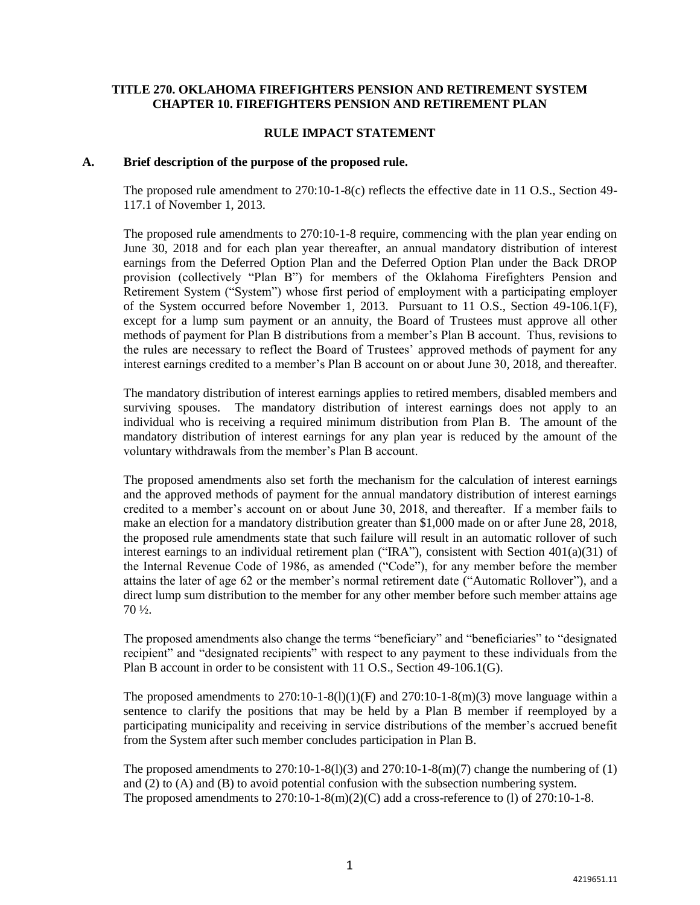#### **TITLE 270. OKLAHOMA FIREFIGHTERS PENSION AND RETIREMENT SYSTEM CHAPTER 10. FIREFIGHTERS PENSION AND RETIREMENT PLAN**

#### **RULE IMPACT STATEMENT**

#### **A. Brief description of the purpose of the proposed rule.**

The proposed rule amendment to 270:10-1-8(c) reflects the effective date in 11 O.S., Section 49- 117.1 of November 1, 2013.

The proposed rule amendments to 270:10-1-8 require, commencing with the plan year ending on June 30, 2018 and for each plan year thereafter, an annual mandatory distribution of interest earnings from the Deferred Option Plan and the Deferred Option Plan under the Back DROP provision (collectively "Plan B") for members of the Oklahoma Firefighters Pension and Retirement System ("System") whose first period of employment with a participating employer of the System occurred before November 1, 2013. Pursuant to 11 O.S., Section 49-106.1(F), except for a lump sum payment or an annuity, the Board of Trustees must approve all other methods of payment for Plan B distributions from a member's Plan B account. Thus, revisions to the rules are necessary to reflect the Board of Trustees' approved methods of payment for any interest earnings credited to a member's Plan B account on or about June 30, 2018, and thereafter.

The mandatory distribution of interest earnings applies to retired members, disabled members and surviving spouses. The mandatory distribution of interest earnings does not apply to an individual who is receiving a required minimum distribution from Plan B. The amount of the mandatory distribution of interest earnings for any plan year is reduced by the amount of the voluntary withdrawals from the member's Plan B account.

The proposed amendments also set forth the mechanism for the calculation of interest earnings and the approved methods of payment for the annual mandatory distribution of interest earnings credited to a member's account on or about June 30, 2018, and thereafter. If a member fails to make an election for a mandatory distribution greater than \$1,000 made on or after June 28, 2018, the proposed rule amendments state that such failure will result in an automatic rollover of such interest earnings to an individual retirement plan ("IRA"), consistent with Section  $401(a)(31)$  of the Internal Revenue Code of 1986, as amended ("Code"), for any member before the member attains the later of age 62 or the member's normal retirement date ("Automatic Rollover"), and a direct lump sum distribution to the member for any other member before such member attains age 70 ½.

The proposed amendments also change the terms "beneficiary" and "beneficiaries" to "designated recipient" and "designated recipients" with respect to any payment to these individuals from the Plan B account in order to be consistent with 11 O.S., Section 49-106.1(G).

The proposed amendments to  $270:10-1-8(1)(1)(F)$  and  $270:10-1-8(m)(3)$  move language within a sentence to clarify the positions that may be held by a Plan B member if reemployed by a participating municipality and receiving in service distributions of the member's accrued benefit from the System after such member concludes participation in Plan B.

The proposed amendments to  $270:10-1-8(1)(3)$  and  $270:10-1-8(m)(7)$  change the numbering of (1) and (2) to (A) and (B) to avoid potential confusion with the subsection numbering system. The proposed amendments to  $270:10-1-8(m)(2)(C)$  add a cross-reference to (1) of  $270:10-1-8$ .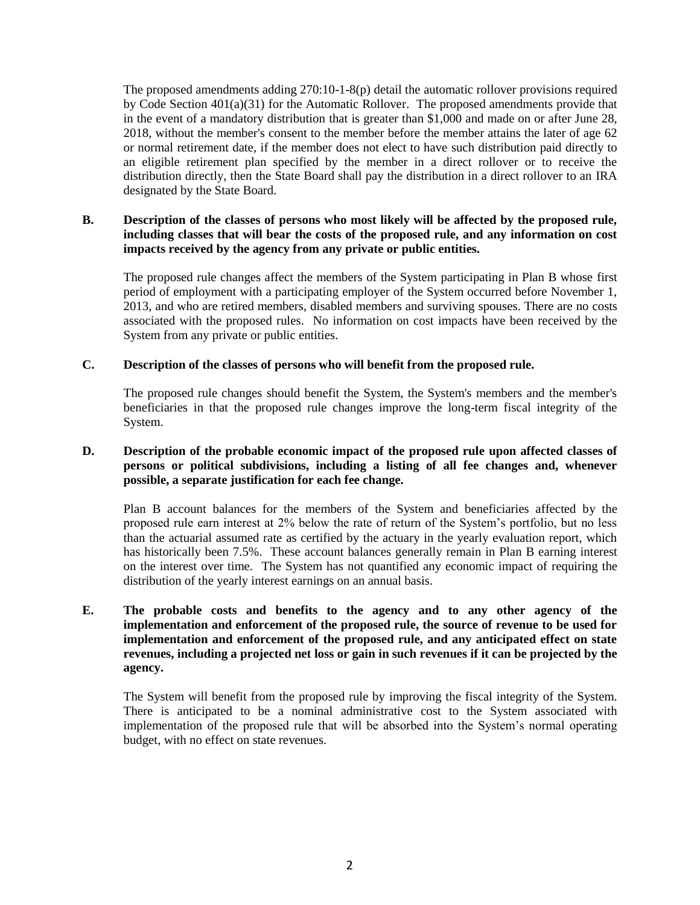The proposed amendments adding 270:10-1-8(p) detail the automatic rollover provisions required by Code Section 401(a)(31) for the Automatic Rollover. The proposed amendments provide that in the event of a mandatory distribution that is greater than \$1,000 and made on or after June 28, 2018, without the member's consent to the member before the member attains the later of age 62 or normal retirement date, if the member does not elect to have such distribution paid directly to an eligible retirement plan specified by the member in a direct rollover or to receive the distribution directly, then the State Board shall pay the distribution in a direct rollover to an IRA designated by the State Board.

# **B. Description of the classes of persons who most likely will be affected by the proposed rule, including classes that will bear the costs of the proposed rule, and any information on cost impacts received by the agency from any private or public entities.**

The proposed rule changes affect the members of the System participating in Plan B whose first period of employment with a participating employer of the System occurred before November 1, 2013, and who are retired members, disabled members and surviving spouses. There are no costs associated with the proposed rules. No information on cost impacts have been received by the System from any private or public entities.

## **C. Description of the classes of persons who will benefit from the proposed rule.**

The proposed rule changes should benefit the System, the System's members and the member's beneficiaries in that the proposed rule changes improve the long-term fiscal integrity of the System.

# **D. Description of the probable economic impact of the proposed rule upon affected classes of persons or political subdivisions, including a listing of all fee changes and, whenever possible, a separate justification for each fee change.**

Plan B account balances for the members of the System and beneficiaries affected by the proposed rule earn interest at 2% below the rate of return of the System's portfolio, but no less than the actuarial assumed rate as certified by the actuary in the yearly evaluation report, which has historically been 7.5%. These account balances generally remain in Plan B earning interest on the interest over time. The System has not quantified any economic impact of requiring the distribution of the yearly interest earnings on an annual basis.

# **E. The probable costs and benefits to the agency and to any other agency of the implementation and enforcement of the proposed rule, the source of revenue to be used for implementation and enforcement of the proposed rule, and any anticipated effect on state revenues, including a projected net loss or gain in such revenues if it can be projected by the agency.**

The System will benefit from the proposed rule by improving the fiscal integrity of the System. There is anticipated to be a nominal administrative cost to the System associated with implementation of the proposed rule that will be absorbed into the System's normal operating budget, with no effect on state revenues.